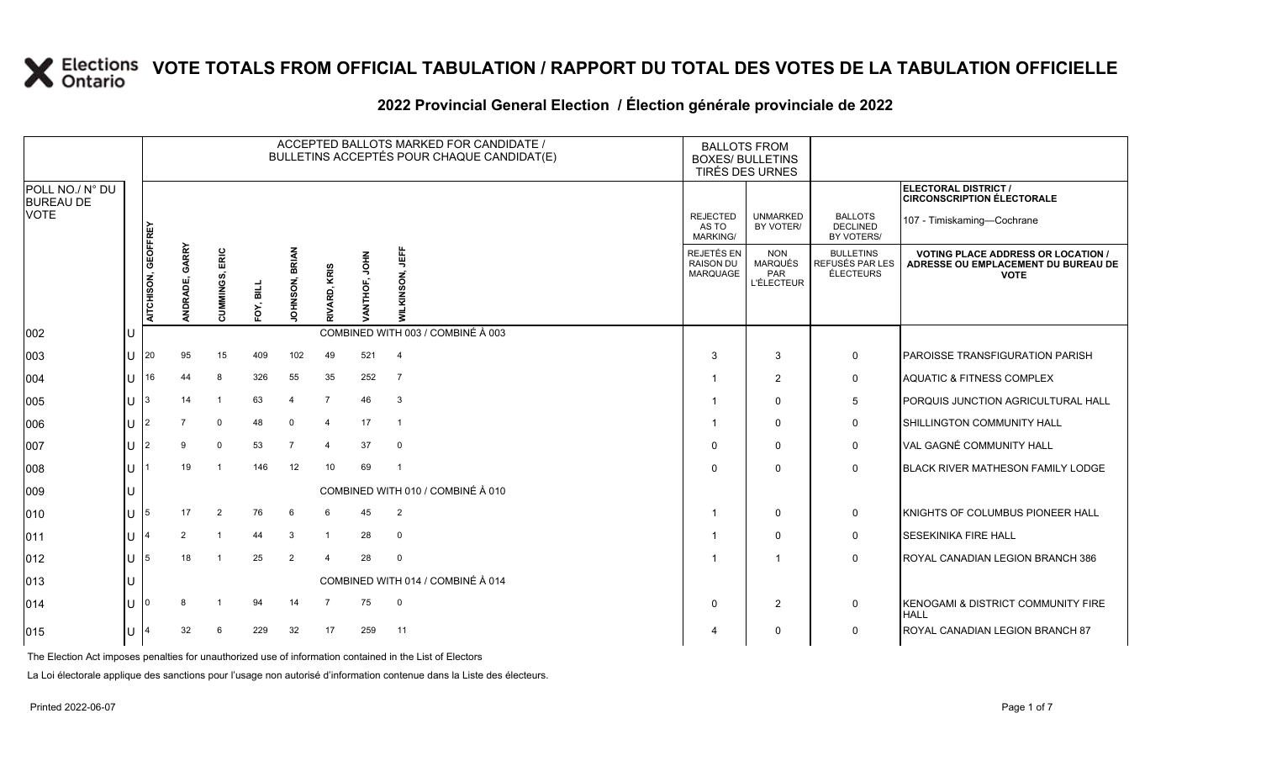|                                     |     |                     |                            |                |           |                |                         |               | ACCEPTED BALLOTS MARKED FOR CANDIDATE /<br>BULLETINS ACCEPTÉS POUR CHAQUE CANDIDAT(E) | <b>BALLOTS FROM</b><br><b>BOXES/ BULLETINS</b>    | TIRÉS DES URNES                                                 |                                                         |                                                                                                 |
|-------------------------------------|-----|---------------------|----------------------------|----------------|-----------|----------------|-------------------------|---------------|---------------------------------------------------------------------------------------|---------------------------------------------------|-----------------------------------------------------------------|---------------------------------------------------------|-------------------------------------------------------------------------------------------------|
| POLL NO./ N° DU<br><b>BUREAU DE</b> |     |                     |                            |                |           |                |                         |               |                                                                                       |                                                   |                                                                 |                                                         | ELECTORAL DISTRICT /<br><b>CIRCONSCRIPTION ÉLECTORALE</b>                                       |
| <b>VOTE</b>                         |     |                     |                            |                |           |                |                         |               |                                                                                       | <b>REJECTED</b><br>AS TO<br>MARKING/              | <b>UNMARKED</b><br>BY VOTER/                                    | <b>BALLOTS</b><br><b>DECLINED</b><br>BY VOTERS/         | 107 - Timiskaming-Cochrane                                                                      |
|                                     |     | AITCHISON, GEOFFREY | GARRY<br>õ.<br><b>NDRA</b> | CUMMINGS, ERIC | FOY, BILL | JOHNSON, BRIAN | RIVARD, KRIS            | VANTHOF, JOHN | <b>UEFF</b><br><b>WILKINSON,</b>                                                      | <b>REJETÉS EN</b><br><b>RAISON DU</b><br>MARQUAGE | <b>NON</b><br><b>MARQUÉS</b><br><b>PAR</b><br><b>L'ÉLECTEUR</b> | <b>BULLETINS</b><br><b>REFUSÉS PAR LES</b><br>ÉLECTEURS | <b>VOTING PLACE ADDRESS OR LOCATION /</b><br>ADRESSE OU EMPLACEMENT DU BUREAU DE<br><b>VOTE</b> |
| 002                                 | IU  |                     |                            |                |           |                |                         |               | COMBINED WITH 003 / COMBINÉ À 003                                                     |                                                   |                                                                 |                                                         |                                                                                                 |
| 003                                 | ΙU  | l 20                | 95                         | 15             | 409       | 102            | 49                      | 521           | $\overline{4}$                                                                        | 3                                                 | 3                                                               | 0                                                       | <b>PAROISSE TRANSFIGURATION PARISH</b>                                                          |
| 004                                 | IU. | 16                  | 44                         | 8              | 326       | 55             | 35                      | 252           | $\overline{7}$                                                                        |                                                   | 2                                                               | 0                                                       | AQUATIC & FITNESS COMPLEX                                                                       |
| 005                                 | IU  | 13                  | 14                         | $\overline{1}$ | 63        | $\overline{4}$ | $\overline{7}$          | 46            | 3                                                                                     |                                                   | $\mathbf 0$                                                     | 5                                                       | PORQUIS JUNCTION AGRICULTURAL HALL                                                              |
| 006                                 | IU  |                     |                            | $\Omega$       | 48        | $\mathbf 0$    | $\overline{\mathbf{4}}$ | 17            | $\overline{1}$                                                                        |                                                   | $\mathbf 0$                                                     | 0                                                       | SHILLINGTON COMMUNITY HALL                                                                      |
| 007                                 | IU  |                     | 9                          | $\mathbf 0$    | 53        | $\overline{7}$ | $\overline{\mathbf{4}}$ | 37            | $\mathbf 0$                                                                           | $\Omega$                                          | $\mathbf 0$                                                     | $\mathbf 0$                                             | VAL GAGNÉ COMMUNITY HALL                                                                        |
| 008                                 | ΙU  |                     | 19                         | -1             | 146       | 12             | 10                      | 69            | -1                                                                                    | $\Omega$                                          | $\Omega$                                                        | $\mathbf 0$                                             | BLACK RIVER MATHESON FAMILY LODGE                                                               |
| 009                                 | IU  |                     |                            |                |           |                |                         |               | COMBINED WITH 010 / COMBINÉ À 010                                                     |                                                   |                                                                 |                                                         |                                                                                                 |
| 010                                 | IU  | 15                  | 17                         | 2              | 76        | 6              | 6                       | 45            | 2                                                                                     |                                                   | $\mathbf 0$                                                     | 0                                                       | KNIGHTS OF COLUMBUS PIONEER HALL                                                                |
| 011                                 | IU  |                     | 2                          | -1             | 44        | 3              | $\overline{1}$          | 28            | $\mathbf 0$                                                                           |                                                   | $\Omega$                                                        | 0                                                       | <b>SESEKINIKA FIRE HALL</b>                                                                     |
| 012                                 | ΙU  | 15                  | 18                         |                | 25        | $\overline{2}$ | $\Delta$                | 28            | $\mathbf 0$                                                                           |                                                   | $\overline{1}$                                                  | $\mathbf 0$                                             | ROYAL CANADIAN LEGION BRANCH 386                                                                |
| 013                                 | IU  |                     |                            |                |           |                |                         |               | COMBINED WITH 014 / COMBINÉ À 014                                                     |                                                   |                                                                 |                                                         |                                                                                                 |
| 014                                 | IU  |                     |                            |                | 94        | 14             | $\overline{7}$          | 75            | $\mathbf 0$                                                                           | $\Omega$                                          | 2                                                               | 0                                                       | KENOGAMI & DISTRICT COMMUNITY FIRE<br><b>HALL</b>                                               |
| 015                                 | IU  |                     | 32                         | 6              | 229       | 32             | 17                      | 259           | 11                                                                                    |                                                   | 0                                                               | 0                                                       | ROYAL CANADIAN LEGION BRANCH 87                                                                 |
|                                     |     |                     |                            |                |           |                |                         |               |                                                                                       |                                                   |                                                                 |                                                         |                                                                                                 |

#### 2022 Provincial General Election / Election générale provinciale de 2022

The Election Act imposes penalties for unauthorized use of information contained in the List of Electors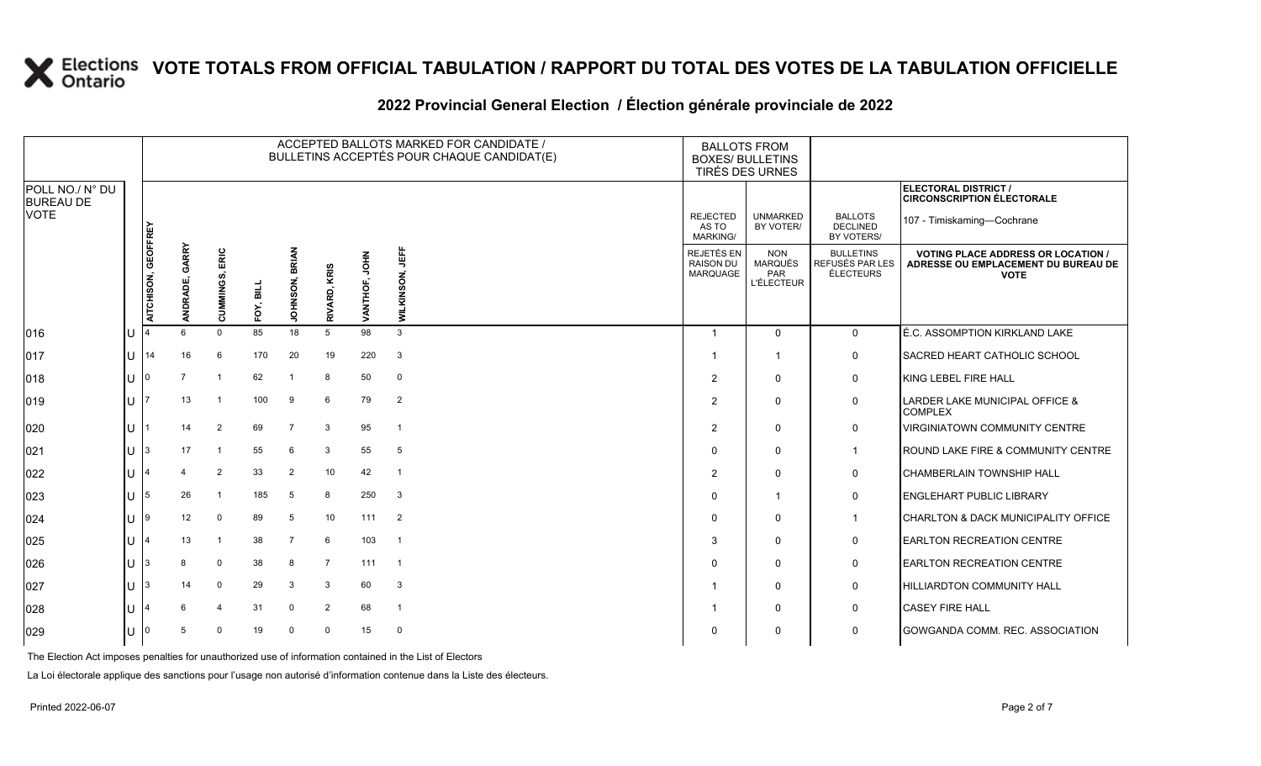### **2022 Provincial General Election / Élection générale provinciale de 2022**

|                                     |                             |                     |                   |                         |           |                          |                 |                         | ACCEPTED BALLOTS MARKED FOR CANDIDATE /<br>BULLETINS ACCEPTÉS POUR CHAQUE CANDIDAT(E) | <b>BALLOTS FROM</b><br><b>BOXES/ BULLETINS</b>    | TIRÉS DES URNES                                          |                                                  |                                                                                                 |
|-------------------------------------|-----------------------------|---------------------|-------------------|-------------------------|-----------|--------------------------|-----------------|-------------------------|---------------------------------------------------------------------------------------|---------------------------------------------------|----------------------------------------------------------|--------------------------------------------------|-------------------------------------------------------------------------------------------------|
| POLL NO./ N° DU<br><b>BUREAU DE</b> |                             |                     |                   |                         |           |                          |                 |                         |                                                                                       |                                                   |                                                          |                                                  | ELECTORAL DISTRICT /<br><b>CIRCONSCRIPTION ÉLECTORALE</b>                                       |
| <b>VOTE</b>                         |                             |                     |                   |                         |           |                          |                 |                         |                                                                                       | <b>REJECTED</b><br>AS TO<br><b>MARKING/</b>       | <b>UNMARKED</b><br>BY VOTER/                             | <b>BALLOTS</b><br><b>DECLINED</b><br>BY VOTERS/  | 107 - Timiskaming-Cochrane                                                                      |
|                                     |                             | AITCHISON, GEOFFREY | GARRY<br>ANDRADE, | ERIC<br>CUMMINGS,       | FOY, BILI | BRIAN<br><b>JOHNSON,</b> | KRIS<br>RIVARD, | <b>МНОГ</b><br>VANTHOF, | 闦<br>WILKINSON,                                                                       | REJETÉS EN<br><b>RAISON DU</b><br><b>MARQUAGE</b> | <b>NON</b><br><b>MARQUÉS</b><br>PAR<br><b>L'ÉLECTEUR</b> | <b>BULLETINS</b><br>REFUSÉS PAR LES<br>ÉLECTEURS | <b>VOTING PLACE ADDRESS OR LOCATION /</b><br>ADRESSE OU EMPLACEMENT DU BUREAU DE<br><b>VOTE</b> |
| 016                                 | ΠT                          |                     | ĥ.                | $\mathbf 0$             | 85        | 18                       | 5               | 98                      | 3                                                                                     | $\overline{1}$                                    | $\mathbf{0}$                                             | $\mathbf{0}$                                     | É.C. ASSOMPTION KIRKLAND LAKE                                                                   |
| 017                                 | U                           | 14                  | 16                | 6                       | 170       | 20                       | 19              | 220                     | $\mathbf{3}$                                                                          |                                                   | -1                                                       | $\mathbf 0$                                      | SACRED HEART CATHOLIC SCHOOL                                                                    |
| 018                                 | ΙU                          | I0                  |                   | $\overline{1}$          | 62        |                          | 8               | 50                      | $\overline{0}$                                                                        | $\overline{2}$                                    | $\Omega$                                                 | $\mathbf 0$                                      | KING LEBEL FIRE HALL                                                                            |
| $ 019\rangle$                       | U                           |                     | 13                | $\overline{\mathbf{1}}$ | 100       | 9                        | 6               | 79                      | 2                                                                                     | 2                                                 | $\Omega$                                                 | 0                                                | LARDER LAKE MUNICIPAL OFFICE &<br><b>COMPLEX</b>                                                |
| 020                                 | U                           |                     | 14                | $\overline{2}$          | 69        | $\overline{7}$           | 3               | 95                      | $\overline{1}$                                                                        | 2                                                 | $\Omega$                                                 | 0                                                | VIRGINIATOWN COMMUNITY CENTRE                                                                   |
| 021                                 | lu-                         | 13                  | 17                | $\overline{\mathbf{1}}$ | 55        | 6                        | 3               | 55                      | 5                                                                                     | $\Omega$                                          | $\mathbf 0$                                              | $\mathbf{1}$                                     | ROUND LAKE FIRE & COMMUNITY CENTRE                                                              |
| 022                                 | U                           |                     |                   | $\overline{2}$          | 33        | $\overline{2}$           | 10              | 42                      | $\overline{1}$                                                                        | $\overline{2}$                                    | $\Omega$                                                 | $\mathbf 0$                                      | <b>CHAMBERLAIN TOWNSHIP HALL</b>                                                                |
| 023                                 | lu-                         | 15                  | 26                | $\overline{\mathbf{1}}$ | 185       | 5                        | 8               | 250                     | 3                                                                                     | $\Omega$                                          |                                                          | $\mathbf 0$                                      | <b>ENGLEHART PUBLIC LIBRARY</b>                                                                 |
| 024                                 | IU 19                       |                     | 12                | $\mathbf 0$             | 89        | 5                        | 10              | 111                     | $\overline{2}$                                                                        | $\Omega$                                          | $\mathbf 0$                                              | $\mathbf{1}$                                     | CHARLTON & DACK MUNICIPALITY OFFICE                                                             |
| 025                                 | U                           |                     | 13                | $\overline{1}$          | 38        | $\overline{7}$           | 6               | 103                     | $\overline{1}$                                                                        | 3                                                 | $\Omega$                                                 | 0                                                | <b>EARLTON RECREATION CENTRE</b>                                                                |
| 026                                 | U                           | 3                   |                   | 0                       | 38        | 8                        | 7               | 111                     | - 1                                                                                   | $\Omega$                                          | $\Omega$                                                 | 0                                                | <b>EARLTON RECREATION CENTRE</b>                                                                |
| 027                                 | $\mathsf{II}$ $\mathsf{I}3$ |                     | 14                | $\mathbf 0$             | 29        | 3                        | 3               | 60                      | $\mathbf{3}$                                                                          |                                                   | $\mathbf 0$                                              | $\mathbf 0$                                      | <b>HILLIARDTON COMMUNITY HALL</b>                                                               |
| 028                                 | ПT                          |                     |                   | $\overline{4}$          | 31        | $\mathbf 0$              | 2               | 68                      | $\overline{1}$                                                                        |                                                   | $\Omega$                                                 | $\mathbf 0$                                      | <b>CASEY FIRE HALL</b>                                                                          |
| 029                                 | U                           |                     | -5                | $\Omega$                | 19        | $\Omega$                 | $\Omega$        | 15                      | $\overline{0}$                                                                        | $\Omega$                                          | $\Omega$                                                 | $\mathbf 0$                                      | GOWGANDA COMM. REC. ASSOCIATION                                                                 |

The Election Act imposes penalties for unauthorized use of information contained in the List of Electors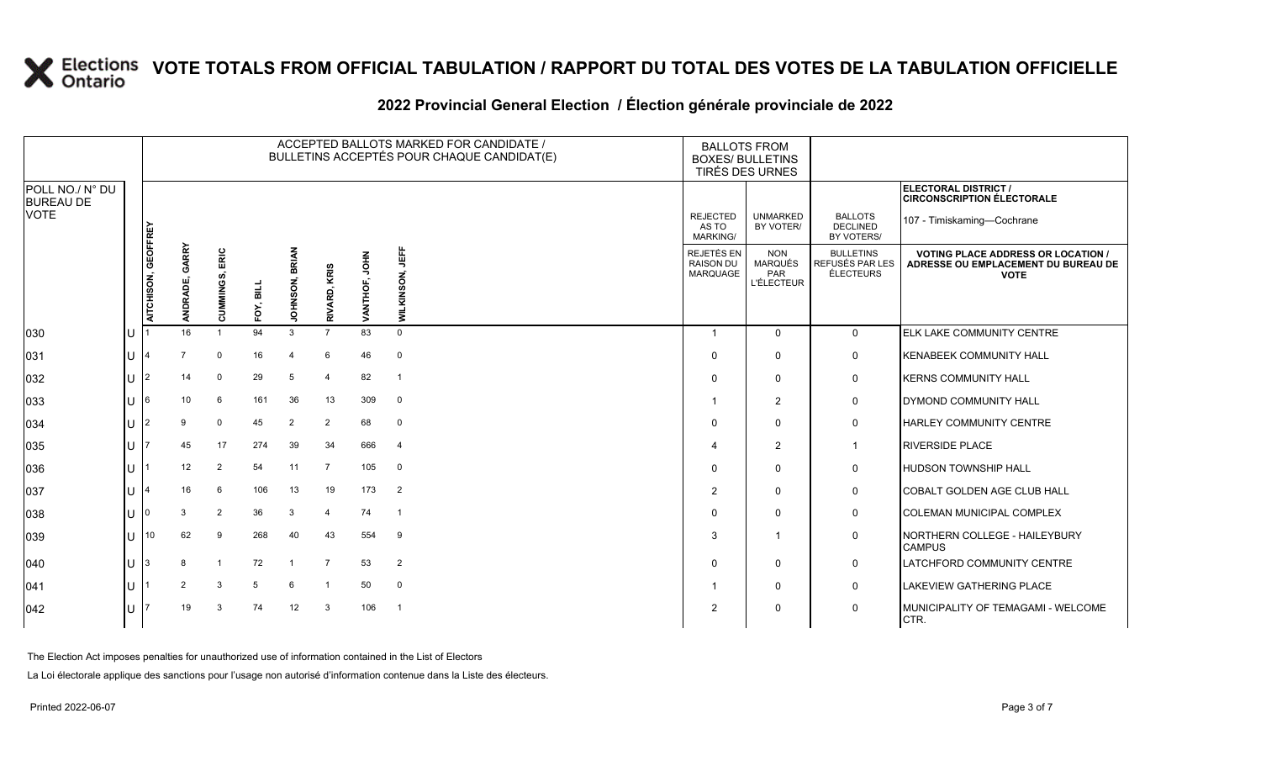### **2022 Provincial General Election / Élection générale provinciale de 2022**

|                                     |    |                     |                   |                |           |                       |                |               | ACCEPTED BALLOTS MARKED FOR CANDIDATE /<br>BULLETINS ACCEPTÉS POUR CHAQUE CANDIDAT(E) | <b>BALLOTS FROM</b><br><b>BOXES/ BULLETINS</b> | TIRÉS DES URNES                                          |                                                         |                                                                                                 |
|-------------------------------------|----|---------------------|-------------------|----------------|-----------|-----------------------|----------------|---------------|---------------------------------------------------------------------------------------|------------------------------------------------|----------------------------------------------------------|---------------------------------------------------------|-------------------------------------------------------------------------------------------------|
| POLL NO./ N° DU<br><b>BUREAU DE</b> |    |                     |                   |                |           |                       |                |               |                                                                                       |                                                |                                                          |                                                         | ELECTORAL DISTRICT /<br><b>CIRCONSCRIPTION ÉLECTORALE</b>                                       |
| <b>VOTE</b>                         |    |                     |                   |                |           |                       |                |               |                                                                                       | <b>REJECTED</b><br>AS TO<br>MARKING/           | <b>UNMARKED</b><br>BY VOTER/                             | <b>BALLOTS</b><br><b>DECLINED</b><br>BY VOTERS/         | 107 - Timiskaming-Cochrane                                                                      |
|                                     |    | AITCHISON, GEOFFREY | GARRY<br>ANDRADE, | CUMMINGS, ERIC | FOY, BILL | <b>JOHNSON, BRIAN</b> | RIVARD, KRIS   | VANTHOF, JOHN | "<br>WILKINSON,                                                                       | REJETÉS EN<br><b>RAISON DU</b><br>MARQUAGE     | <b>NON</b><br><b>MARQUÉS</b><br>PAR<br><b>L'ÉLECTEUR</b> | <b>BULLETINS</b><br>REFUSÉS PAR LES<br><b>ÉLECTEURS</b> | <b>VOTING PLACE ADDRESS OR LOCATION /</b><br>ADRESSE OU EMPLACEMENT DU BUREAU DE<br><b>VOTE</b> |
| 030                                 | lU |                     | 16                |                | 94        | 3                     | $\overline{7}$ | 83            | $\Omega$                                                                              | $\overline{1}$                                 | $\Omega$                                                 | $\mathbf{0}$                                            | <b>ELK LAKE COMMUNITY CENTRE</b>                                                                |
| 031                                 | lu |                     |                   | $\mathbf 0$    | 16        | $\overline{4}$        | 6              | 46            | $\mathbf 0$                                                                           | $\Omega$                                       | $\Omega$                                                 | $\mathbf 0$                                             | <b>KENABEEK COMMUNITY HALL</b>                                                                  |
| 032                                 | Iυ | 2                   | 14                | $\mathbf 0$    | 29        | 5                     | $\overline{4}$ | 82            | $\overline{1}$                                                                        | $\Omega$                                       | $\mathbf 0$                                              | 0                                                       | <b>KERNS COMMUNITY HALL</b>                                                                     |
| 033                                 | lu |                     | 10                | 6              | 161       | 36                    | 13             | 309           | 0                                                                                     | -1                                             | $\overline{2}$                                           | $\mathbf 0$                                             | <b>DYMOND COMMUNITY HALL</b>                                                                    |
| 034                                 | lu |                     | 9                 | $\mathbf 0$    | 45        | $\overline{2}$        | $\overline{2}$ | 68            | $\mathbf 0$                                                                           | $\Omega$                                       | $\Omega$                                                 | $\mathbf 0$                                             | HARLEY COMMUNITY CENTRE                                                                         |
| 035                                 | lu |                     | 45                | 17             | 274       | 39                    | 34             | 666           | $\overline{4}$                                                                        |                                                | $\overline{2}$                                           | $\overline{1}$                                          | <b>RIVERSIDE PLACE</b>                                                                          |
| 036                                 | ΙU |                     | 12                | 2              | 54        | 11                    | 7              | 105           | $\mathbf 0$                                                                           | $\Omega$                                       | $\Omega$                                                 | $\mathbf 0$                                             | <b>HUDSON TOWNSHIP HALL</b>                                                                     |
| 037                                 | lu |                     | 16                | 6              | 106       | 13                    | 19             | 173           | $\overline{2}$                                                                        | 2                                              | $\mathbf 0$                                              | $\mathsf{O}$                                            | COBALT GOLDEN AGE CLUB HALL                                                                     |
| 038                                 | lU |                     | 3                 | 2              | 36        | 3                     | $\overline{a}$ | 74            | $\overline{1}$                                                                        | $\Omega$                                       | 0                                                        | $\mathsf{O}$                                            | <b>COLEMAN MUNICIPAL COMPLEX</b>                                                                |
| 039                                 | lυ | 10                  | 62                | 9              | 268       | 40                    | 43             | 554           | 9                                                                                     | 3                                              | $\overline{1}$                                           | $\mathbf 0$                                             | NORTHERN COLLEGE - HAILEYBURY<br><b>CAMPUS</b>                                                  |
| $ 040\rangle$                       | lu |                     | 8                 |                | 72        | -1                    | $\overline{7}$ | 53            | $\overline{2}$                                                                        | $\Omega$                                       | $\mathbf 0$                                              | $\mathsf{O}$                                            | <b>LATCHFORD COMMUNITY CENTRE</b>                                                               |
| 041                                 | lu |                     | 2                 | 3              | 5         | 6                     | $\overline{1}$ | 50            | $\mathbf 0$                                                                           | -1                                             | $\mathbf 0$                                              | $\mathsf{O}$                                            | LAKEVIEW GATHERING PLACE                                                                        |
| 042                                 | IП |                     | 19                | $\mathcal{B}$  | 74        | 12                    | 3              | 106           | $\overline{1}$                                                                        | 2                                              | $\mathbf 0$                                              | $\mathbf 0$                                             | MUNICIPALITY OF TEMAGAMI - WELCOME<br>CTR.                                                      |

The Election Act imposes penalties for unauthorized use of information contained in the List of Electors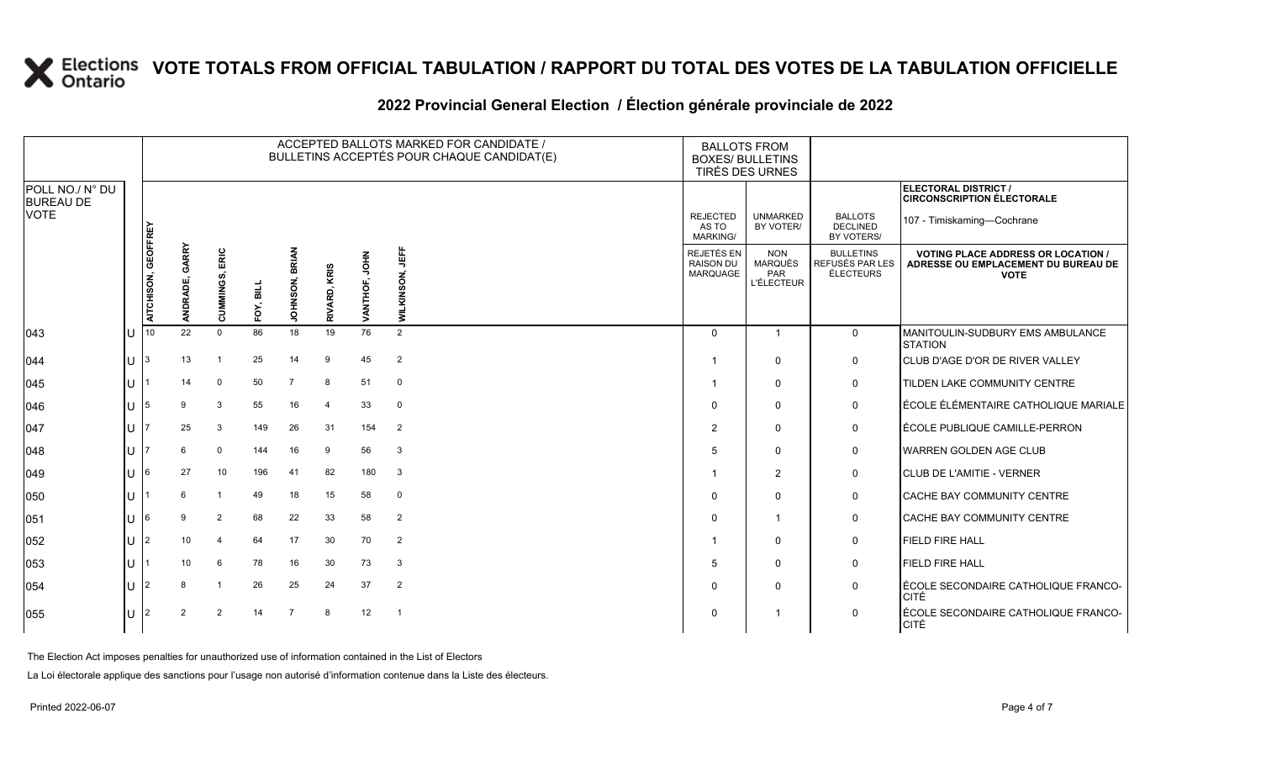### **2022 Provincial General Election / Élection générale provinciale de 2022**

|                                     |              |                     |                   |                |           |                          |                |                  | ACCEPTED BALLOTS MARKED FOR CANDIDATE /<br>BULLETINS ACCEPTÉS POUR CHAQUE CANDIDAT(E) | <b>BOXES/ BULLETINS</b>                     | <b>BALLOTS FROM</b><br>TIRÉS DES URNES                   |                                                  |                                                                                                 |
|-------------------------------------|--------------|---------------------|-------------------|----------------|-----------|--------------------------|----------------|------------------|---------------------------------------------------------------------------------------|---------------------------------------------|----------------------------------------------------------|--------------------------------------------------|-------------------------------------------------------------------------------------------------|
| POLL NO./ N° DU<br><b>BUREAU DE</b> |              |                     |                   |                |           |                          |                |                  |                                                                                       |                                             |                                                          |                                                  | ELECTORAL DISTRICT /<br><b>CIRCONSCRIPTION ÉLECTORALE</b>                                       |
| <b>VOTE</b>                         |              |                     |                   |                |           |                          |                |                  |                                                                                       | <b>REJECTED</b><br>AS TO<br><b>MARKING/</b> | <b>UNMARKED</b><br>BY VOTER/                             | <b>BALLOTS</b><br><b>DECLINED</b><br>BY VOTERS/  | 107 - Timiskaming-Cochrane                                                                      |
|                                     |              | AITCHISON, GEOFFREY | GARRY<br>ANDRADE, | CUMMINGS, ERIC | FOY, BILL | <b>BRIAN</b><br>JOHNSON, | RIVARD, KRIS   | HPOL<br>VANTHOF, | 母<br>SON.<br><b>WILKIN</b>                                                            | REJETÉS EN<br><b>RAISON DU</b><br>MARQUAGE  | <b>NON</b><br>MARQUÉS<br><b>PAR</b><br><b>L'ÉLECTEUR</b> | <b>BULLETINS</b><br>REFUSÉS PAR LES<br>ÉLECTEURS | <b>VOTING PLACE ADDRESS OR LOCATION /</b><br>ADRESSE OU EMPLACEMENT DU BUREAU DE<br><b>VOTE</b> |
| $ 043\rangle$                       | U            | 10                  | 22                | $\Omega$       | 86        | 18                       | 19             | 76               | 2                                                                                     | $\Omega$                                    | $\overline{1}$                                           | $\mathbf{0}$                                     | MANITOULIN-SUDBURY EMS AMBULANCE<br><b>STATION</b>                                              |
| 044                                 | $\cup$       | 3                   | 13                |                | 25        | 14                       | 9              | 45               | $\overline{2}$                                                                        |                                             | $\Omega$                                                 | 0                                                | CLUB D'AGE D'OR DE RIVER VALLEY                                                                 |
| $ 045\rangle$                       | $\mathbf{U}$ |                     | 14                | $\mathbf 0$    | 50        | $\overline{7}$           | 8              | 51               | $\mathbf 0$                                                                           | - 1                                         | $\Omega$                                                 | 0                                                | TILDEN LAKE COMMUNITY CENTRE                                                                    |
| 046                                 | $\cup$       | 5                   | 9                 | 3              | 55        | 16                       | $\overline{4}$ | 33               | $\mathbf 0$                                                                           | $\Omega$                                    | $\mathbf 0$                                              | 0                                                | ÉCOLE ÉLÉMENTAIRE CATHOLIQUE MARIALE                                                            |
| 047                                 | U            |                     | 25                | 3              | 149       | 26                       | 31             | 154              | $\overline{2}$                                                                        | $\overline{2}$                              | $\mathbf 0$                                              | 0                                                | ÉCOLE PUBLIQUE CAMILLE-PERRON                                                                   |
| 048                                 | $\mathbf{L}$ |                     | 6                 | $\mathbf 0$    | 144       | 16                       | 9              | 56               | 3                                                                                     | 5                                           | $\Omega$                                                 | 0                                                | <b>WARREN GOLDEN AGE CLUB</b>                                                                   |
| $ 049\rangle$                       | U            | 6                   | 27                | 10             | 196       | 41                       | 82             | 180              | -3                                                                                    |                                             | $\overline{2}$                                           | 0                                                | CLUB DE L'AMITIE - VERNER                                                                       |
| 050                                 | U            |                     | ĥ                 | $\overline{1}$ | 49        | 18                       | 15             | 58               | $\mathbf 0$                                                                           | 0                                           | 0                                                        | 0                                                | CACHE BAY COMMUNITY CENTRE                                                                      |
| 051                                 | U            |                     |                   | 2              | 68        | 22                       | 33             | 58               | $\overline{2}$                                                                        | $\Omega$                                    | 1                                                        | 0                                                | <b>CACHE BAY COMMUNITY CENTRE</b>                                                               |
| 052                                 | U            | $\overline{2}$      | 10                | 4              | 64        | 17                       | 30             | 70               | $\overline{2}$                                                                        |                                             | $\Omega$                                                 | 0                                                | <b>FIELD FIRE HALL</b>                                                                          |
| 053                                 | $\mathbf{U}$ |                     | 10                | 6              | 78        | 16                       | 30             | 73               | 3                                                                                     | 5                                           | 0                                                        | 0                                                | <b>FIELD FIRE HALL</b>                                                                          |
| 054                                 | U            |                     |                   |                | 26        | 25                       | 24             | 37               | $\overline{2}$                                                                        | 0                                           | 0                                                        | 0                                                | ÉCOLE SECONDAIRE CATHOLIQUE FRANCO-<br><b>CITÉ</b>                                              |
| 055                                 | $\mathbf{U}$ |                     |                   | $\mathcal{P}$  | 14        |                          | 8              | 12               |                                                                                       | $\Omega$                                    |                                                          | $\Omega$                                         | ÉCOLE SECONDAIRE CATHOLIQUE FRANCO-<br>CITÉ                                                     |

The Election Act imposes penalties for unauthorized use of information contained in the List of Electors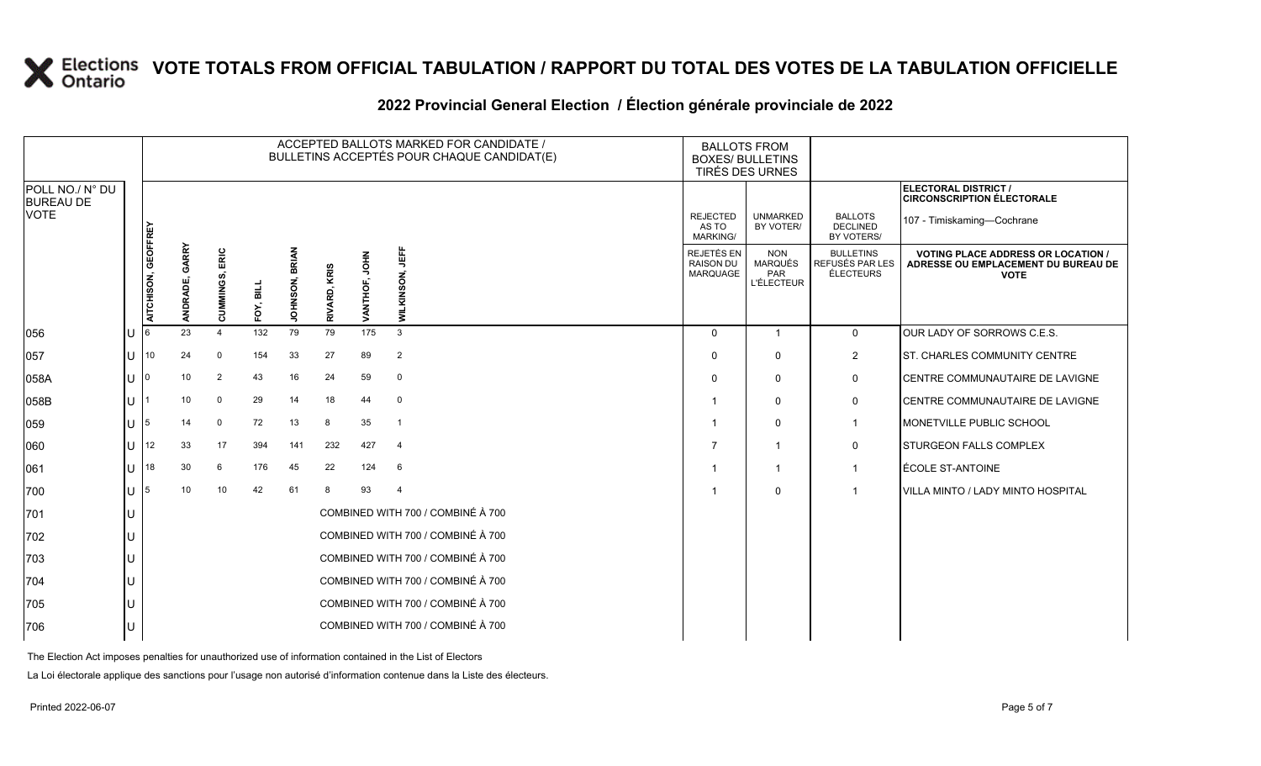### **2022 Provincial General Election / Élection générale provinciale de 2022**

|                                     |     |                     |                          |                   |           |                          |              |               | ACCEPTED BALLOTS MARKED FOR CANDIDATE /<br>BULLETINS ACCEPTÉS POUR CHAQUE CANDIDAT(E) |                                             | <b>BALLOTS FROM</b><br><b>BOXES/ BULLETINS</b><br>TIRÉS DES URNES |                                                  |                                                                                                 |
|-------------------------------------|-----|---------------------|--------------------------|-------------------|-----------|--------------------------|--------------|---------------|---------------------------------------------------------------------------------------|---------------------------------------------|-------------------------------------------------------------------|--------------------------------------------------|-------------------------------------------------------------------------------------------------|
| POLL NO./ N° DU<br><b>BUREAU DE</b> |     |                     |                          |                   |           |                          |              |               |                                                                                       |                                             |                                                                   |                                                  | ELECTORAL DISTRICT /<br><b>CIRCONSCRIPTION ÉLECTORALE</b>                                       |
| <b>VOTE</b>                         |     |                     |                          |                   |           |                          |              |               |                                                                                       | <b>REJECTED</b><br>AS TO<br><b>MARKING/</b> | <b>UNMARKED</b><br>BY VOTER/                                      | <b>BALLOTS</b><br><b>DECLINED</b><br>BY VOTERS/  | 107 - Timiskaming-Cochrane                                                                      |
|                                     |     | AITCHISON, GEOFFREY | <b>GARRY</b><br>ANDRADE, | ERIC<br>CUMMINGS, | FOY, BILL | <b>BRIAN</b><br>JOHNSON, | RIVARD, KRIS | VANTHOF, JOHN | <b>UEFF</b><br>WILKINSON,                                                             | REJETÉS EN<br><b>RAISON DU</b><br>MARQUAGE  | <b>NON</b><br><b>MARQUÉS</b><br>PAR<br><b>L'ÉLECTEUR</b>          | <b>BULLETINS</b><br>REFUSÉS PAR LES<br>ÉLECTEURS | <b>VOTING PLACE ADDRESS OR LOCATION /</b><br>ADRESSE OU EMPLACEMENT DU BUREAU DE<br><b>VOTE</b> |
| 056                                 |     |                     | 23                       | $\overline{4}$    | 132       | 79                       | 79           | 175           | 3                                                                                     | $\Omega$                                    | $\overline{1}$                                                    | $\mathbf 0$                                      | OUR LADY OF SORROWS C.E.S.                                                                      |
| 057                                 | U   | 10                  | 24                       | $\mathbf 0$       | 154       | 33                       | 27           | 89            | $\overline{2}$                                                                        | $\Omega$                                    | $\mathbf 0$                                                       | $\overline{2}$                                   | ST. CHARLES COMMUNITY CENTRE                                                                    |
| 058A                                | lU. | ın                  | 10                       | $\overline{2}$    | 43        | 16                       | 24           | 59            | $\mathbf 0$                                                                           | $\Omega$                                    | $\mathbf 0$                                                       | 0                                                | CENTRE COMMUNAUTAIRE DE LAVIGNE                                                                 |
| 058B                                | U   |                     | 10                       | $\mathbf 0$       | 29        | 14                       | 18           | 44            | $\overline{0}$                                                                        |                                             | $\mathbf 0$                                                       | 0                                                | CENTRE COMMUNAUTAIRE DE LAVIGNE                                                                 |
| 059                                 | lU. |                     | 14                       | $\mathbf 0$       | 72        | 13                       | 8            | 35            | $\overline{1}$                                                                        |                                             | $\mathbf 0$                                                       | $\mathbf{1}$                                     | MONETVILLE PUBLIC SCHOOL                                                                        |
| 060                                 | lU. | 12                  | 33                       | 17                | 394       | 141                      | 232          | 427           | $\overline{4}$                                                                        |                                             | 1                                                                 | 0                                                | STURGEON FALLS COMPLEX                                                                          |
| 061                                 | U   | 18                  | 30                       | 6                 | 176       | 45                       | 22           | 124           | 6                                                                                     |                                             |                                                                   | $\mathbf{1}$                                     | ÉCOLE ST-ANTOINE                                                                                |
| 700                                 | lU. | 5                   | 10                       | 10                | 42        | 61                       | 8            | 93            | $\overline{4}$                                                                        |                                             | $\mathbf 0$                                                       | $\overline{1}$                                   | VILLA MINTO / LADY MINTO HOSPITAL                                                               |
| 701                                 | lU. |                     |                          |                   |           |                          |              |               | COMBINED WITH 700 / COMBINÉ À 700                                                     |                                             |                                                                   |                                                  |                                                                                                 |
| 702                                 |     |                     |                          |                   |           |                          |              |               | COMBINED WITH 700 / COMBINÉ À 700                                                     |                                             |                                                                   |                                                  |                                                                                                 |
| 703                                 | U   |                     |                          |                   |           |                          |              |               | COMBINED WITH 700 / COMBINÉ À 700                                                     |                                             |                                                                   |                                                  |                                                                                                 |
| 704                                 | U   |                     |                          |                   |           |                          |              |               | COMBINED WITH 700 / COMBINÉ À 700                                                     |                                             |                                                                   |                                                  |                                                                                                 |
| 705                                 |     |                     |                          |                   |           |                          |              |               | COMBINED WITH 700 / COMBINÉ À 700                                                     |                                             |                                                                   |                                                  |                                                                                                 |
| 706                                 |     |                     |                          |                   |           |                          |              |               | COMBINED WITH 700 / COMBINÉ À 700                                                     |                                             |                                                                   |                                                  |                                                                                                 |

The Election Act imposes penalties for unauthorized use of information contained in the List of Electors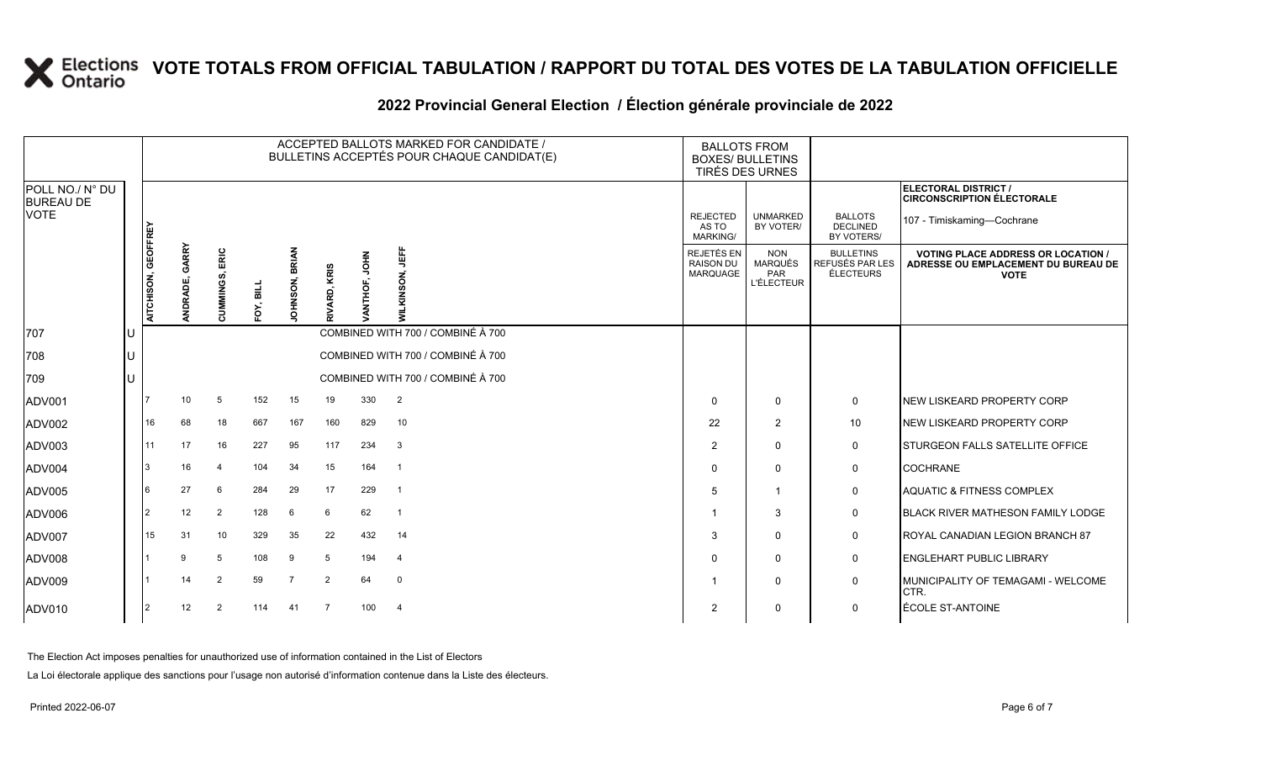| 2022 Provincial General Election / Election générale provinciale de 2022 |  |  |
|--------------------------------------------------------------------------|--|--|
|                                                                          |  |  |

|                                     |    |                     |                   |                |           |                |                 |               | ACCEPTED BALLOTS MARKED FOR CANDIDATE /<br>BULLETINS ACCEPTÉS POUR CHAQUE CANDIDAT(E) | <b>BALLOTS FROM</b><br><b>BOXES/ BULLETINS</b> | TIRÉS DES URNES                                   |                                                  |                                                                                                 |
|-------------------------------------|----|---------------------|-------------------|----------------|-----------|----------------|-----------------|---------------|---------------------------------------------------------------------------------------|------------------------------------------------|---------------------------------------------------|--------------------------------------------------|-------------------------------------------------------------------------------------------------|
| POLL NO./ N° DU<br><b>BUREAU DE</b> |    |                     |                   |                |           |                |                 |               |                                                                                       |                                                |                                                   |                                                  | <b>ELECTORAL DISTRICT /</b><br><b>CIRCONSCRIPTION ÉLECTORALE</b>                                |
| <b>VOTE</b>                         |    |                     |                   |                |           |                |                 |               |                                                                                       | <b>REJECTED</b><br>AS TO<br><b>MARKING/</b>    | <b>UNMARKED</b><br>BY VOTER/                      | <b>BALLOTS</b><br><b>DECLINED</b><br>BY VOTERS/  | 107 - Timiskaming-Cochrane                                                                      |
|                                     |    | AITCHISON, GEOFFREY | GARRY<br>ANDRADE, | CUMMINGS, ERIC | FOY, BILL | JOHNSON, BRIAN | KRIS<br>RIVARD, | ĔР<br>ANTHOF, | 肯<br><b>VILKINSON.</b>                                                                | REJETÉS EN<br>RAISON DU<br>MARQUAGE            | <b>NON</b><br>MARQUÉS<br>PAR<br><b>L'ÉLECTEUR</b> | <b>BULLETINS</b><br>REFUSÉS PAR LES<br>ÉLECTEURS | <b>VOTING PLACE ADDRESS OR LOCATION /</b><br>ADRESSE OU EMPLACEMENT DU BUREAU DE<br><b>VOTE</b> |
| 707                                 | IU |                     |                   |                |           |                |                 |               | COMBINED WITH 700 / COMBINÉ À 700                                                     |                                                |                                                   |                                                  |                                                                                                 |
| 708                                 | ΙU |                     |                   |                |           |                |                 |               | COMBINED WITH 700 / COMBINÉ À 700                                                     |                                                |                                                   |                                                  |                                                                                                 |
| 709                                 | lu |                     |                   |                |           |                |                 |               | COMBINED WITH 700 / COMBINÉ À 700                                                     |                                                |                                                   |                                                  |                                                                                                 |
| ADV001                              |    |                     | 10 <sup>°</sup>   | 5              | 152       | 15             | 19              | 330           | 2                                                                                     | $\Omega$                                       | $\mathbf{0}$                                      | 0                                                | NEW LISKEARD PROPERTY CORP                                                                      |
| ADV002                              |    | 16                  | 68                | 18             | 667       | 167            | 160             | 829           | 10                                                                                    | 22                                             | $\overline{2}$                                    | 10 <sup>°</sup>                                  | NEW LISKEARD PROPERTY CORP                                                                      |
| ADV003                              |    | 11                  | 17                | 16             | 227       | 95             | 117             | 234           | $\mathbf{3}$                                                                          | $\overline{2}$                                 | $\Omega$                                          | 0                                                | <b>I</b> STURGEON FALLS SATELLITE OFFICE                                                        |
| ADV004                              |    | 3                   | 16                | $\overline{4}$ | 104       | 34             | 15              | 164           | $\overline{1}$                                                                        | $\Omega$                                       | $\Omega$                                          | 0                                                | <b>COCHRANE</b>                                                                                 |
| ADV005                              |    |                     | 27                | 6              | 284       | 29             | 17              | 229           | $\overline{1}$                                                                        | 5                                              |                                                   | 0                                                | <b>AQUATIC &amp; FITNESS COMPLEX</b>                                                            |
| ADV006                              |    | <u> 2</u>           | 12                | 2              | 128       | 6              | 6               | 62            | $\overline{1}$                                                                        |                                                | 3                                                 | 0                                                | <b>BLACK RIVER MATHESON FAMILY LODGE</b>                                                        |
| ADV007                              |    | 15                  | 31                | 10             | 329       | 35             | 22              | 432           | 14                                                                                    | 3                                              | $\mathbf{0}$                                      | $\mathbf{0}$                                     | ROYAL CANADIAN LEGION BRANCH 87                                                                 |
| ADV008                              |    |                     | 9                 | 5              | 108       | 9              | 5               | 194           | $\overline{4}$                                                                        | $\Omega$                                       | $\mathbf{0}$                                      | 0                                                | <b>ENGLEHART PUBLIC LIBRARY</b>                                                                 |
| ADV009                              |    |                     | 14                | 2              | 59        | $\overline{7}$ | 2               | 64            | $\mathbf 0$                                                                           |                                                | 0                                                 | 0                                                | MUNICIPALITY OF TEMAGAMI - WELCOME<br>CTR.                                                      |
| ADV010                              |    | 12                  | 12                | 2              | 114       | 41             | $\overline{7}$  | 100           | $\overline{4}$                                                                        | $\overline{2}$                                 | 0                                                 | 0                                                | ÉCOLE ST-ANTOINE                                                                                |

The Election Act imposes penalties for unauthorized use of information contained in the List of Electors